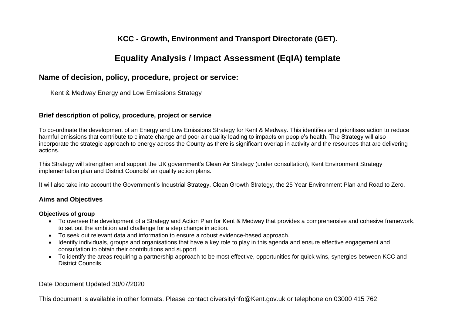# **KCC - Growth, Environment and Transport Directorate (GET).**

# **Equality Analysis / Impact Assessment (EqIA) template**

# **Name of decision, policy, procedure, project or service:**

Kent & Medway Energy and Low Emissions Strategy

## **Brief description of policy, procedure, project or service**

To co-ordinate the development of an Energy and Low Emissions Strategy for Kent & Medway. This identifies and prioritises action to reduce harmful emissions that contribute to climate change and poor air quality leading to impacts on people's health. The Strategy will also incorporate the strategic approach to energy across the County as there is significant overlap in activity and the resources that are delivering actions.

This Strategy will strengthen and support the UK government's Clean Air Strategy (under consultation), Kent Environment Strategy implementation plan and District Councils' air quality action plans.

It will also take into account the Government's Industrial Strategy, Clean Growth Strategy, the 25 Year Environment Plan and Road to Zero.

## **Aims and Objectives**

#### **Objectives of group**

- To oversee the development of a Strategy and Action Plan for Kent & Medway that provides a comprehensive and cohesive framework, to set out the ambition and challenge for a step change in action.
- To seek out relevant data and information to ensure a robust evidence-based approach.
- Identify individuals, groups and organisations that have a key role to play in this agenda and ensure effective engagement and consultation to obtain their contributions and support.
- To identify the areas requiring a partnership approach to be most effective, opportunities for quick wins, synergies between KCC and District Councils.

### Date Document Updated 30/07/2020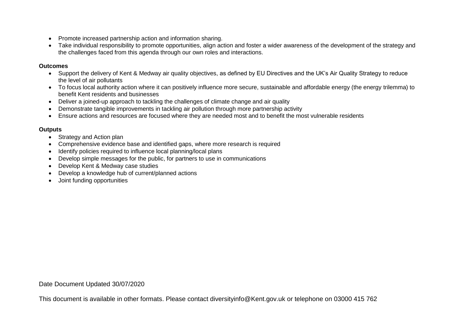- Promote increased partnership action and information sharing.
- Take individual responsibility to promote opportunities, align action and foster a wider awareness of the development of the strategy and the challenges faced from this agenda through our own roles and interactions.

### **Outcomes**

- Support the delivery of Kent & Medway air quality objectives, as defined by EU Directives and the UK's Air Quality Strategy to reduce the level of air pollutants
- To focus local authority action where it can positively influence more secure, sustainable and affordable energy (the energy trilemma) to benefit Kent residents and businesses
- Deliver a joined-up approach to tackling the challenges of climate change and air quality
- Demonstrate tangible improvements in tackling air pollution through more partnership activity
- Ensure actions and resources are focused where they are needed most and to benefit the most vulnerable residents

### **Outputs**

- Strategy and Action plan
- Comprehensive evidence base and identified gaps, where more research is required
- Identify policies required to influence local planning/local plans
- Develop simple messages for the public, for partners to use in communications
- Develop Kent & Medway case studies
- Develop a knowledge hub of current/planned actions
- Joint funding opportunities

Date Document Updated 30/07/2020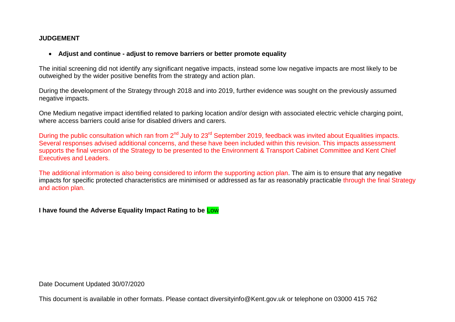## **JUDGEMENT**

### **Adjust and continue - adjust to remove barriers or better promote equality**

The initial screening did not identify any significant negative impacts, instead some low negative impacts are most likely to be outweighed by the wider positive benefits from the strategy and action plan.

During the development of the Strategy through 2018 and into 2019, further evidence was sought on the previously assumed negative impacts.

One Medium negative impact identified related to parking location and/or design with associated electric vehicle charging point, where access barriers could arise for disabled drivers and carers.

During the public consultation which ran from 2<sup>nd</sup> July to 23<sup>rd</sup> September 2019, feedback was invited about Equalities impacts. Several responses advised additional concerns, and these have been included within this revision. This impacts assessment supports the final version of the Strategy to be presented to the Environment & Transport Cabinet Committee and Kent Chief Executives and Leaders.

The additional information is also being considered to inform the supporting action plan. The aim is to ensure that any negative impacts for specific protected characteristics are minimised or addressed as far as reasonably practicable through the final Strategy and action plan.

**I have found the Adverse Equality Impact Rating to be** Low

Date Document Updated 30/07/2020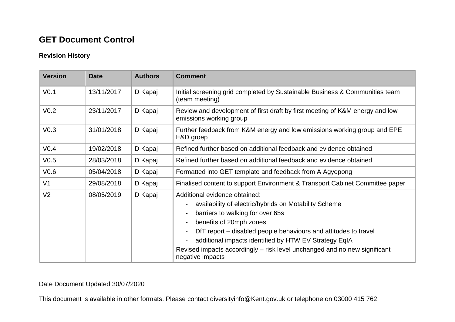# **GET Document Control**

# **Revision History**

| <b>Version</b>   | <b>Date</b> | <b>Authors</b> | <b>Comment</b>                                                                                                                                                                                                                                                                                                                                                                                                                           |  |  |  |
|------------------|-------------|----------------|------------------------------------------------------------------------------------------------------------------------------------------------------------------------------------------------------------------------------------------------------------------------------------------------------------------------------------------------------------------------------------------------------------------------------------------|--|--|--|
| V <sub>0.1</sub> | 13/11/2017  | D Kapaj        | Initial screening grid completed by Sustainable Business & Communities team<br>(team meeting)                                                                                                                                                                                                                                                                                                                                            |  |  |  |
| V <sub>0.2</sub> | 23/11/2017  | D Kapaj        | Review and development of first draft by first meeting of K&M energy and low<br>emissions working group                                                                                                                                                                                                                                                                                                                                  |  |  |  |
| V <sub>0.3</sub> | 31/01/2018  | D Kapaj        | Further feedback from K&M energy and low emissions working group and EPE<br>E&D groep                                                                                                                                                                                                                                                                                                                                                    |  |  |  |
| V <sub>0.4</sub> | 19/02/2018  | D Kapaj        | Refined further based on additional feedback and evidence obtained                                                                                                                                                                                                                                                                                                                                                                       |  |  |  |
| V <sub>0.5</sub> | 28/03/2018  | D Kapaj        | Refined further based on additional feedback and evidence obtained                                                                                                                                                                                                                                                                                                                                                                       |  |  |  |
| V <sub>0.6</sub> | 05/04/2018  | D Kapaj        | Formatted into GET template and feedback from A Agyepong                                                                                                                                                                                                                                                                                                                                                                                 |  |  |  |
| V <sub>1</sub>   | 29/08/2018  | D Kapaj        | Finalised content to support Environment & Transport Cabinet Committee paper                                                                                                                                                                                                                                                                                                                                                             |  |  |  |
| V <sub>2</sub>   | 08/05/2019  | D Kapaj        | Additional evidence obtained:<br>availability of electric/hybrids on Motability Scheme<br>$\blacksquare$<br>barriers to walking for over 65s<br>benefits of 20mph zones<br>$\blacksquare$<br>DfT report – disabled people behaviours and attitudes to travel<br>additional impacts identified by HTW EV Strategy EqIA<br>$\blacksquare$<br>Revised impacts accordingly – risk level unchanged and no new significant<br>negative impacts |  |  |  |

Date Document Updated 30/07/2020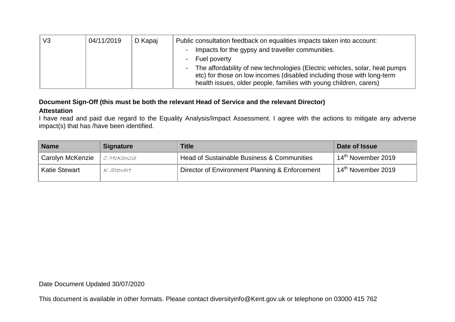| V <sub>3</sub> | 04/11/2019 | D Kapaj | Public consultation feedback on equalities impacts taken into account:                                                                                                                                                                |
|----------------|------------|---------|---------------------------------------------------------------------------------------------------------------------------------------------------------------------------------------------------------------------------------------|
|                |            |         | Impacts for the gypsy and traveller communities.<br>$\overline{\phantom{0}}$                                                                                                                                                          |
|                |            |         | - Fuel poverty                                                                                                                                                                                                                        |
|                |            |         | The affordability of new technologies (Electric vehicles, solar, heat pumps<br>$\sim$<br>etc) for those on low incomes (disabled including those with long-term<br>health issues, older people, families with young children, carers) |

# **Document Sign-Off (this must be both the relevant Head of Service and the relevant Director)**

### **Attestation**

I have read and paid due regard to the Equality Analysis/Impact Assessment. I agree with the actions to mitigate any adverse impact(s) that has /have been identified.

| <b>Name</b>          | <b>Signature</b> | Title                                          | Date of Issue                  |
|----------------------|------------------|------------------------------------------------|--------------------------------|
| Carolyn McKenzie     | C MCKenzie       | Head of Sustainable Business & Communities     | $14^{\text{th}}$ November 2019 |
| <b>Katie Stewart</b> | K Stewart        | Director of Environment Planning & Enforcement | 14 <sup>th</sup> November 2019 |

Date Document Updated 30/07/2020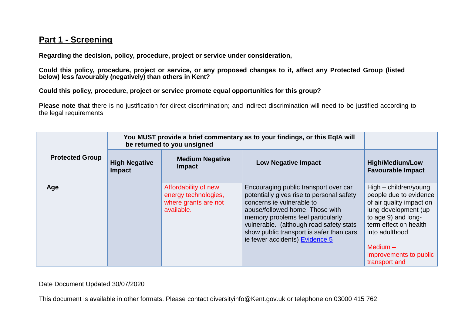# **Part 1 - Screening**

**Regarding the decision, policy, procedure, project or service under consideration,** 

**Could this policy, procedure, project or service, or any proposed changes to it, affect any Protected Group (listed below) less favourably (negatively) than others in Kent?** 

**Could this policy, procedure, project or service promote equal opportunities for this group?**

**Please note that** there is no justification for direct discrimination; and indirect discrimination will need to be justified according to the legal requirements

|                        | You MUST provide a brief commentary as to your findings, or this EqIA will<br>be returned to you unsigned |                                                                                    |                                                                                                                                                                                                                                                                                                                  |                                                                                                                                                                                                                                |
|------------------------|-----------------------------------------------------------------------------------------------------------|------------------------------------------------------------------------------------|------------------------------------------------------------------------------------------------------------------------------------------------------------------------------------------------------------------------------------------------------------------------------------------------------------------|--------------------------------------------------------------------------------------------------------------------------------------------------------------------------------------------------------------------------------|
| <b>Protected Group</b> | <b>High Negative</b><br>Impact                                                                            | <b>Medium Negative</b><br><b>Impact</b>                                            | <b>Low Negative Impact</b>                                                                                                                                                                                                                                                                                       | <b>High/Medium/Low</b><br><b>Favourable Impact</b>                                                                                                                                                                             |
| Age                    |                                                                                                           | Affordability of new<br>energy technologies,<br>where grants are not<br>available. | Encouraging public transport over car<br>potentially gives rise to personal safety<br>concerns ie vulnerable to<br>abuse/followed home. Those with<br>memory problems feel particularly<br>vulnerable. (although road safety stats<br>show public transport is safer than cars<br>ie fewer accidents) Evidence 5 | High – children/young<br>people due to evidence<br>of air quality impact on<br>lung development (up<br>to age 9) and long-<br>term effect on health<br>into adulthood<br>Medium $-$<br>improvements to public<br>transport and |

Date Document Updated 30/07/2020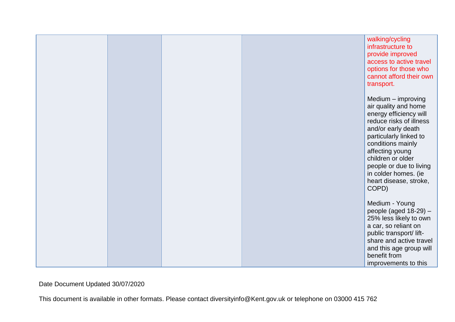|  |  | walking/cycling<br>infrastructure to<br>provide improved<br>access to active travel<br>options for those who<br>cannot afford their own<br>transport.                                                                                                                                              |
|--|--|----------------------------------------------------------------------------------------------------------------------------------------------------------------------------------------------------------------------------------------------------------------------------------------------------|
|  |  | Medium - improving<br>air quality and home<br>energy efficiency will<br>reduce risks of illness<br>and/or early death<br>particularly linked to<br>conditions mainly<br>affecting young<br>children or older<br>people or due to living<br>in colder homes. (ie<br>heart disease, stroke,<br>COPD) |
|  |  | Medium - Young<br>people (aged $18-29$ ) -<br>25% less likely to own<br>a car, so reliant on<br>public transport/lift-<br>share and active travel<br>and this age group will<br>benefit from<br>improvements to this                                                                               |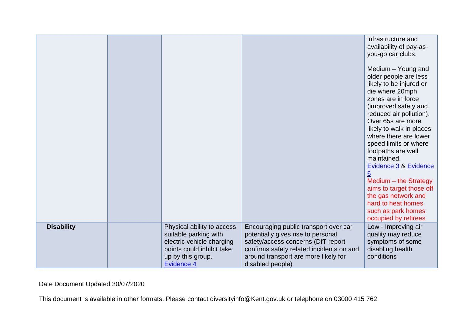|                   |                                                                                                                                                         |                                                                                                                                                                                                                           | infrastructure and<br>availability of pay-as-<br>you-go car clubs.<br>Medium - Young and<br>older people are less<br>likely to be injured or<br>die where 20mph<br>zones are in force<br>(improved safety and<br>reduced air pollution).<br>Over 65s are more<br>likely to walk in places<br>where there are lower<br>speed limits or where<br>footpaths are well<br>maintained.<br>Evidence 3 & Evidence<br>$6\phantom{1}6$<br>Medium - the Strategy<br>aims to target those off<br>the gas network and<br>hard to heat homes<br>such as park homes<br>occupied by retirees |
|-------------------|---------------------------------------------------------------------------------------------------------------------------------------------------------|---------------------------------------------------------------------------------------------------------------------------------------------------------------------------------------------------------------------------|------------------------------------------------------------------------------------------------------------------------------------------------------------------------------------------------------------------------------------------------------------------------------------------------------------------------------------------------------------------------------------------------------------------------------------------------------------------------------------------------------------------------------------------------------------------------------|
| <b>Disability</b> | Physical ability to access<br>suitable parking with<br>electric vehicle charging<br>points could inhibit take<br>up by this group.<br><b>Evidence 4</b> | Encouraging public transport over car<br>potentially gives rise to personal<br>safety/access concerns (DfT report<br>confirms safety related incidents on and<br>around transport are more likely for<br>disabled people) | Low - Improving air<br>quality may reduce<br>symptoms of some<br>disabling health<br>conditions                                                                                                                                                                                                                                                                                                                                                                                                                                                                              |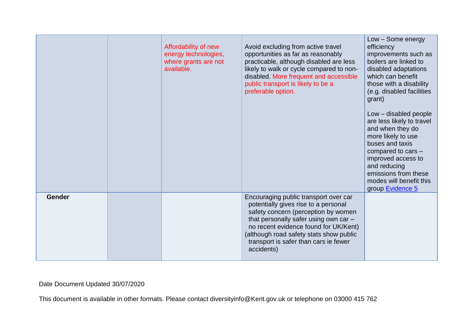|        | Affordability of new<br>energy technologies,<br>where grants are not<br>available. | Avoid excluding from active travel<br>opportunities as far as reasonably<br>practicable, although disabled are less<br>likely to walk or cycle compared to non-<br>disabled. More frequent and accessible<br>public transport is likely to be a<br>preferable option.                                    | Low - Some energy<br>efficiency<br>improvements such as<br>boilers are linked to<br>disabled adaptations<br>which can benefit<br>those with a disability<br>(e.g. disabled facilities<br>grant)<br>Low - disabled people<br>are less likely to travel<br>and when they do<br>more likely to use<br>buses and taxis<br>compared to cars -<br>improved access to<br>and reducing<br>emissions from these<br>modes will benefit this<br>group Evidence 5 |
|--------|------------------------------------------------------------------------------------|----------------------------------------------------------------------------------------------------------------------------------------------------------------------------------------------------------------------------------------------------------------------------------------------------------|-------------------------------------------------------------------------------------------------------------------------------------------------------------------------------------------------------------------------------------------------------------------------------------------------------------------------------------------------------------------------------------------------------------------------------------------------------|
| Gender |                                                                                    | Encouraging public transport over car<br>potentially gives rise to a personal<br>safety concern (perception by women<br>that personally safer using own car -<br>no recent evidence found for UK/Kent)<br>(although road safety stats show public<br>transport is safer than cars ie fewer<br>accidents) |                                                                                                                                                                                                                                                                                                                                                                                                                                                       |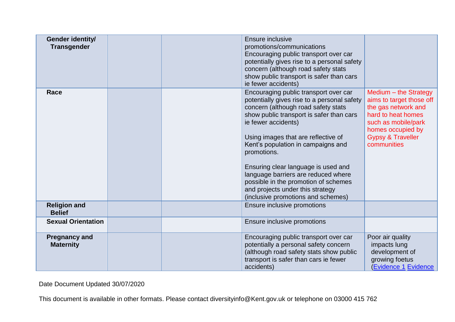| Gender identity/<br><b>Transgender</b>   |  | Ensure inclusive<br>promotions/communications<br>Encouraging public transport over car<br>potentially gives rise to a personal safety<br>concern (although road safety stats<br>show public transport is safer than cars<br>ie fewer accidents)                                                                                                                                                                                                                                                                                                                                                                                                                                         |                                                                                                     |
|------------------------------------------|--|-----------------------------------------------------------------------------------------------------------------------------------------------------------------------------------------------------------------------------------------------------------------------------------------------------------------------------------------------------------------------------------------------------------------------------------------------------------------------------------------------------------------------------------------------------------------------------------------------------------------------------------------------------------------------------------------|-----------------------------------------------------------------------------------------------------|
| Race                                     |  | Encouraging public transport over car<br>Medium - the Strategy<br>potentially gives rise to a personal safety<br>aims to target those off<br>concern (although road safety stats<br>the gas network and<br>show public transport is safer than cars<br>hard to heat homes<br>ie fewer accidents)<br>such as mobile/park<br>homes occupied by<br><b>Gypsy &amp; Traveller</b><br>Using images that are reflective of<br>communities<br>Kent's population in campaigns and<br>promotions.<br>Ensuring clear language is used and<br>language barriers are reduced where<br>possible in the promotion of schemes<br>and projects under this strategy<br>(inclusive promotions and schemes) |                                                                                                     |
| <b>Religion and</b><br><b>Belief</b>     |  | Ensure inclusive promotions                                                                                                                                                                                                                                                                                                                                                                                                                                                                                                                                                                                                                                                             |                                                                                                     |
| <b>Sexual Orientation</b>                |  | Ensure inclusive promotions                                                                                                                                                                                                                                                                                                                                                                                                                                                                                                                                                                                                                                                             |                                                                                                     |
| <b>Pregnancy and</b><br><b>Maternity</b> |  | Encouraging public transport over car<br>potentially a personal safety concern<br>(although road safety stats show public<br>transport is safer than cars ie fewer<br>accidents)                                                                                                                                                                                                                                                                                                                                                                                                                                                                                                        | Poor air quality<br>impacts lung<br>development of<br>growing foetus<br><b>(Evidence 1 Evidence</b> |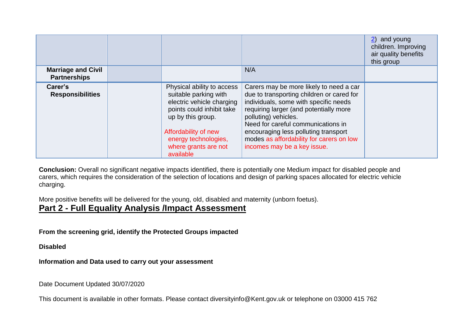| <b>Marriage and Civil</b><br><b>Partnerships</b> |                                                                                                                                                                                                                         | N/A                                                                                                                                                                                                                                                                                                                                                      | 2) and young<br>children. Improving<br>air quality benefits<br>this group |
|--------------------------------------------------|-------------------------------------------------------------------------------------------------------------------------------------------------------------------------------------------------------------------------|----------------------------------------------------------------------------------------------------------------------------------------------------------------------------------------------------------------------------------------------------------------------------------------------------------------------------------------------------------|---------------------------------------------------------------------------|
| Carer's<br><b>Responsibilities</b>               | Physical ability to access<br>suitable parking with<br>electric vehicle charging<br>points could inhibit take<br>up by this group.<br>Affordability of new<br>energy technologies,<br>where grants are not<br>available | Carers may be more likely to need a car<br>due to transporting children or cared for<br>individuals, some with specific needs<br>requiring larger (and potentially more<br>polluting) vehicles.<br>Need for careful communications in<br>encouraging less polluting transport<br>modes as affordability for carers on low<br>incomes may be a key issue. |                                                                           |

**Conclusion:** Overall no significant negative impacts identified, there is potentially one Medium impact for disabled people and carers, which requires the consideration of the selection of locations and design of parking spaces allocated for electric vehicle charging.

More positive benefits will be delivered for the young, old, disabled and maternity (unborn foetus).

# **Part 2 - Full Equality Analysis /Impact Assessment**

**From the screening grid, identify the Protected Groups impacted**

**Disabled** 

**Information and Data used to carry out your assessment**

Date Document Updated 30/07/2020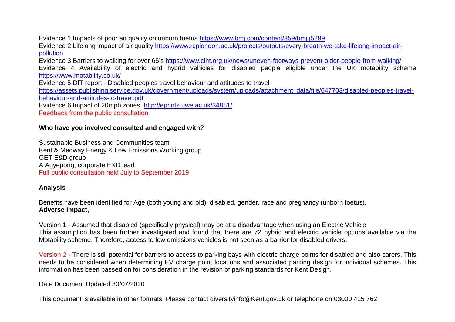Evidence 1 Impacts of poor air quality on unborn foetus <https://www.bmj.com/content/359/bmj.j5299>

Evidence 2 Lifelong impact of air quality [https://www.rcplondon.ac.uk/projects/outputs/every-breath-we-take-lifelong-impact-air](https://www.rcplondon.ac.uk/projects/outputs/every-breath-we-take-lifelong-impact-air-pollution)[pollution](https://www.rcplondon.ac.uk/projects/outputs/every-breath-we-take-lifelong-impact-air-pollution)

Evidence 3 Barriers to walking for over 65's <https://www.ciht.org.uk/news/uneven-footways-prevent-older-people-from-walking/>

Evidence 4 Availability of electric and hybrid vehicles for disabled people eligible under the UK motability scheme <https://www.motability.co.uk/>

Evidence 5 DfT report - Disabled peoples travel behaviour and attitudes to travel

[https://assets.publishing.service.gov.uk/government/uploads/system/uploads/attachment\\_data/file/647703/disabled-peoples-travel](https://assets.publishing.service.gov.uk/government/uploads/system/uploads/attachment_data/file/647703/disabled-peoples-travel-behaviour-and-attitudes-to-travel.pdf)[behaviour-and-attitudes-to-travel.pdf](https://assets.publishing.service.gov.uk/government/uploads/system/uploads/attachment_data/file/647703/disabled-peoples-travel-behaviour-and-attitudes-to-travel.pdf)

Evidence 6 Impact of 20mph zones <http://eprints.uwe.ac.uk/34851/>

Feedback from the public consultation

### **Who have you involved consulted and engaged with?**

Sustainable Business and Communities team Kent & Medway Energy & Low Emissions Working group GET E&D group A Agyepong, corporate E&D lead Full public consultation held July to September 2019

### **Analysis**

Benefits have been identified for Age (both young and old), disabled, gender, race and pregnancy (unborn foetus). **Adverse Impact,** 

Version 1 - Assumed that disabled (specifically physical) may be at a disadvantage when using an Electric Vehicle This assumption has been further investigated and found that there are 72 hybrid and electric vehicle options available via the Motability scheme. Therefore, access to low emissions vehicles is not seen as a barrier for disabled drivers.

Version 2 - There is still potential for barriers to access to parking bays with electric charge points for disabled and also carers. This needs to be considered when determining EV charge point locations and associated parking design for individual schemes. This information has been passed on for consideration in the revision of parking standards for Kent Design.

Date Document Updated 30/07/2020